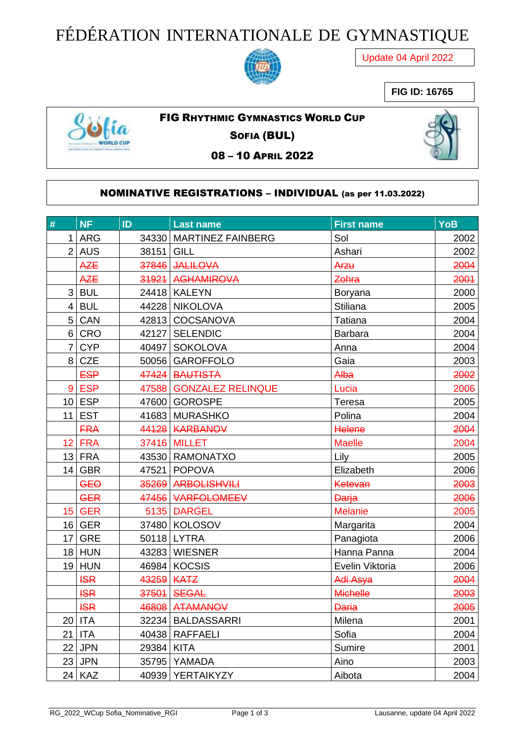## FÉDÉRATION INTERNATIONALE DE GYMNASTIQUE



Update 04 April 2022

## **FIG ID: 16765**



FIG RHYTHMIC GYMNASTICS WORLD CUP

SOFIA (BUL)

08 – 10 APRIL 2022



## NOMINATIVE REGISTRATIONS – INDIVIDUAL (as per 11.03.2022)

| #               | <b>NF</b>  | ID         | <b>Last name</b>        | <b>First name</b> | YoB  |
|-----------------|------------|------------|-------------------------|-------------------|------|
|                 | $1$ ARG    |            | 34330 MARTINEZ FAINBERG | Sol               | 2002 |
|                 | $2$ AUS    | 38151 GILL |                         | Ashari            | 2002 |
|                 | <b>AZE</b> |            | 37846 JALILOVA          | Arzu              | 2004 |
|                 | <b>AZE</b> |            | 31921 AGHAMIROVA        | Zohra             | 2001 |
|                 | $3$ BUL    |            | 24418 KALEYN            | <b>Boryana</b>    | 2000 |
|                 | 4 BUL      |            | 44228 NIKOLOVA          | <b>Stiliana</b>   | 2005 |
|                 | 5 CAN      |            | 42813 COCSANOVA         | Tatiana           | 2004 |
|                 | $6 $ CRO   |            | 42127 SELENDIC          | Barbara           | 2004 |
|                 | $7$ CYP    |            | 40497   SOKOLOVA        | Anna              | 2004 |
| 8 <sup>1</sup>  | <b>CZE</b> |            | 50056 GAROFFOLO         | Gaia              | 2003 |
|                 | <b>ESP</b> |            | 47424 BAUTISTA          | Alba              | 2002 |
|                 | 9 ESP      |            | 47588 GONZALEZ RELINQUE | Lucia             | 2006 |
|                 | $10$ ESP   |            | 47600 GOROSPE           | Teresa            | 2005 |
|                 | $11$ EST   |            | 41683 MURASHKO          | Polina            | 2004 |
|                 | <b>FRA</b> |            | 44128 KARBANOV          | Helene            | 2004 |
|                 | 12 FRA     |            | <b>37416 MILLET</b>     | <b>Maelle</b>     | 2004 |
|                 | $13$ FRA   |            | 43530 RAMONATXO         | Lily              | 2005 |
|                 | $14$ GBR   |            | 47521 POPOVA            | Elizabeth         | 2006 |
|                 | <b>GEO</b> |            | 35269 ARBOLISHVILI      | Ketevan           | 2003 |
|                 | <b>GER</b> |            | 47456 VARFOLOMEEV       | <b>Darja</b>      | 2006 |
| 15 <sup>1</sup> | <b>GER</b> |            | 5135 DARGEL             | <b>Melanie</b>    | 2005 |
|                 | $16$ GER   |            | 37480 KOLOSOV           | Margarita         | 2004 |
|                 | $17$ GRE   |            | 50118 LYTRA             | Panagiota         | 2006 |
|                 | $18$ HUN   |            | 43283 WIESNER           | Hanna Panna       | 2004 |
|                 | $19$ HUN   |            | 46984 KOCSIS            | Evelin Viktoria   | 2006 |
|                 | <b>ISR</b> | 43259 KATZ |                         | Adi Asya          | 2004 |
|                 | <b>ISR</b> |            | 37501 SEGAL             | <b>Michelle</b>   | 2003 |
|                 | <b>ISR</b> |            | 46808 ATAMANOV          | <b>Daria</b>      | 2005 |
|                 | $20$ ITA   |            | 32234   BALDASSARRI     | Milena            | 2001 |
|                 | $21$ ITA   |            | 40438   RAFFAELI        | Sofia             | 2004 |
|                 | $22$ JPN   | 29384 KITA |                         | Sumire            | 2001 |
|                 | $23$ JPN   |            | 35795 YAMADA            | Aino              | 2003 |
|                 | $24$ KAZ   |            | 40939   YERTAIKYZY      | Aibota            | 2004 |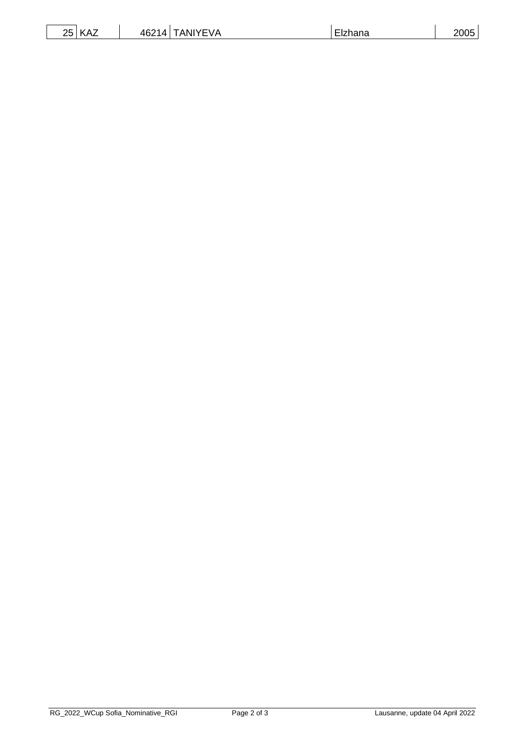| つに<br>$\mathbf{z}$<br>$\mathbf{r}$<br><b>VAL</b><br>∠◡ | <b>IYEVA</b><br>46214<br>ANI<br> | $-$<br><b>Elzhana</b> | 2005 |
|--------------------------------------------------------|----------------------------------|-----------------------|------|